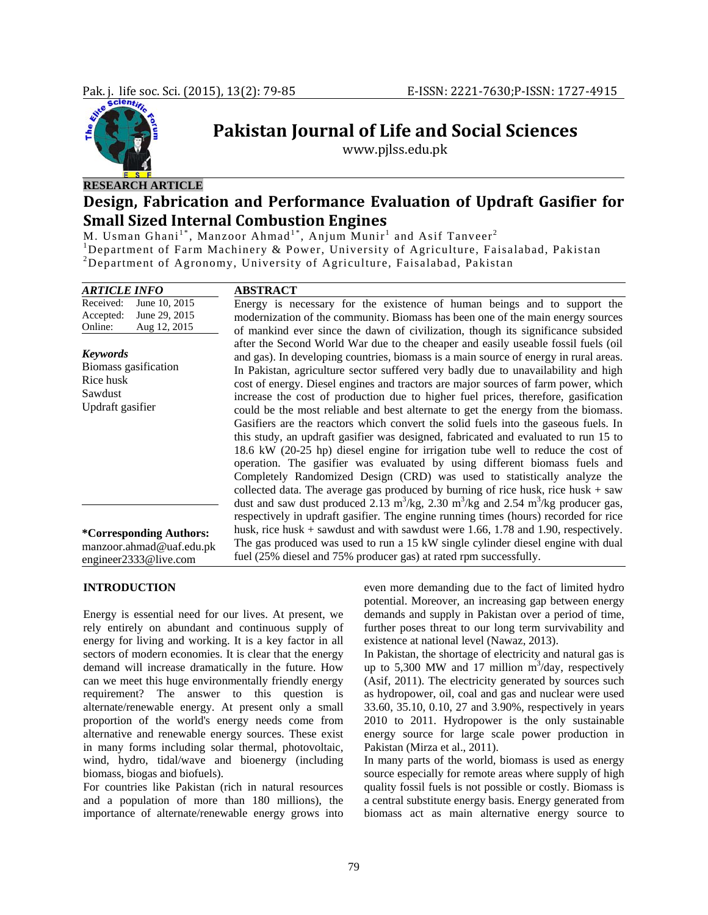

# **Pakistan Journal of Life and Social Sciences**

www.pjlss.edu.pk

# **Design, Fabrication and Performance Evaluation of Updraft Gasifier for Small Sized Internal Combustion Engines**

M. Usman Ghani<sup>1\*</sup>, Manzoor Ahmad<sup>1\*</sup>, Anjum Munir<sup>1</sup> and Asif Tanveer<sup>2</sup><br><sup>1</sup>Department of Farm Machinery & Power, University of Agriculture, Faisalabad, Pakistan<br><sup>2</sup>Department of Agreemy, University of Agriculture, Faisal Department of Agronomy, University of Agriculture, Faisalabad, Pakistan

| <b>ARTICLE INFO</b>             | <b>ABSTRACT</b>                                                                                                       |
|---------------------------------|-----------------------------------------------------------------------------------------------------------------------|
| June 10, 2015<br>Received:      | Energy is necessary for the existence of human beings and to support the                                              |
| June 29, 2015<br>Accepted:      | modernization of the community. Biomass has been one of the main energy sources                                       |
| Aug 12, 2015<br>Online:         | of mankind ever since the dawn of civilization, though its significance subsided                                      |
|                                 | after the Second World War due to the cheaper and easily useable fossil fuels (oil                                    |
| <b>Keywords</b>                 | and gas). In developing countries, biomass is a main source of energy in rural areas.                                 |
| Biomass gasification            | In Pakistan, agriculture sector suffered very badly due to unavailability and high                                    |
| Rice husk                       | cost of energy. Diesel engines and tractors are major sources of farm power, which                                    |
| Sawdust                         | increase the cost of production due to higher fuel prices, therefore, gasification                                    |
| Updraft gasifier                | could be the most reliable and best alternate to get the energy from the biomass.                                     |
|                                 | Gasifiers are the reactors which convert the solid fuels into the gaseous fuels. In                                   |
|                                 | this study, an updraft gasifier was designed, fabricated and evaluated to run 15 to                                   |
|                                 | 18.6 kW (20-25 hp) diesel engine for irrigation tube well to reduce the cost of                                       |
|                                 | operation. The gasifier was evaluated by using different biomass fuels and                                            |
|                                 | Completely Randomized Design (CRD) was used to statistically analyze the                                              |
|                                 | collected data. The average gas produced by burning of rice husk, rice husk $+$ saw                                   |
|                                 | dust and saw dust produced 2.13 m <sup>3</sup> /kg, 2.30 m <sup>3</sup> /kg and 2.54 m <sup>3</sup> /kg producer gas, |
|                                 | respectively in updraft gasifier. The engine running times (hours) recorded for rice                                  |
| <i>*</i> Corresponding Authors: | husk, rice husk $+$ sawdust and with sawdust were 1.66, 1.78 and 1.90, respectively.                                  |
| manzoor.ahmad@uaf.edu.pk        | The gas produced was used to run a 15 kW single cylinder diesel engine with dual                                      |
| engineer2333@live.com           | fuel (25% diesel and 75% producer gas) at rated rpm successfully.                                                     |

# **INTRODUCTION**

Energy is essential need for our lives. At present, we rely entirely on abundant and continuous supply of energy for living and working. It is a key factor in all sectors of modern economies. It is clear that the energy demand will increase dramatically in the future. How can we meet this huge environmentally friendly energy requirement? The answer to this question is alternate/renewable energy. At present only a small proportion of the world's energy needs come from alternative and renewable energy sources. These exist in many forms including solar thermal, photovoltaic, wind, hydro, tidal/wave and bioenergy (including biomass, biogas and biofuels).

For countries like Pakistan (rich in natural resources and a population of more than 180 millions), the importance of alternate/renewable energy grows into even more demanding due to the fact of limited hydro potential. Moreover, an increasing gap between energy demands and supply in Pakistan over a period of time, further poses threat to our long term survivability and existence at national level (Nawaz, 2013).

In Pakistan, the shortage of electricity and natural gas is up to 5,300 MW and 17 million  $m^3$ /day, respectively (Asif, 2011). The electricity generated by sources such as hydropower, oil, coal and gas and nuclear were used 33.60, 35.10, 0.10, 27 and 3.90%, respectively in years 2010 to 2011. Hydropower is the only sustainable energy source for large scale power production in Pakistan (Mirza et al., 2011).

In many parts of the world, biomass is used as energy source especially for remote areas where supply of high quality fossil fuels is not possible or costly. Biomass is a central substitute energy basis. Energy generated from biomass act as main alternative energy source to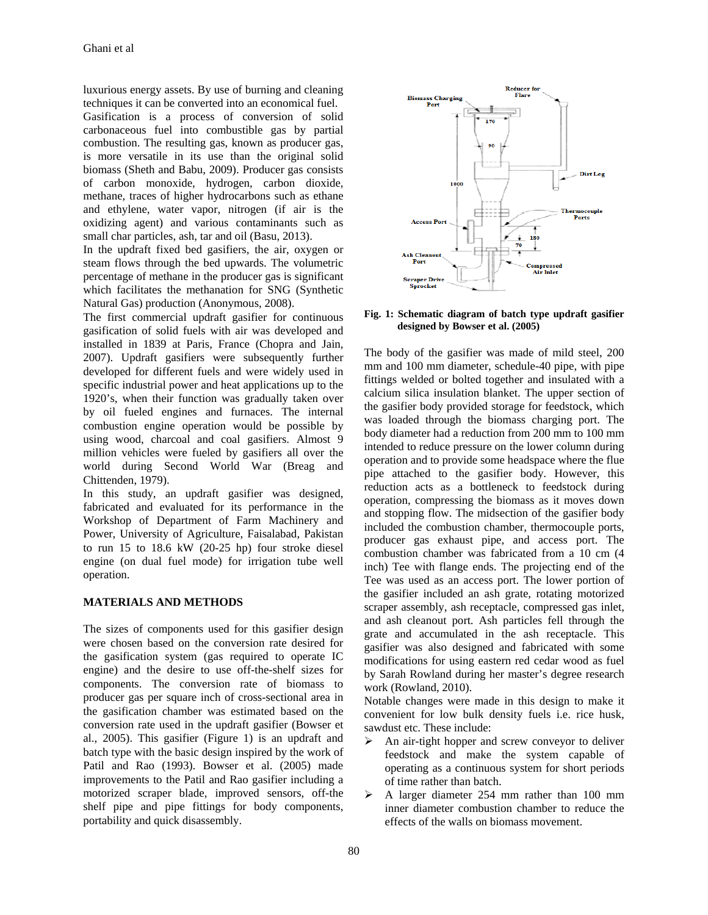luxurious energy assets. By use of burning and cleaning techniques it can be converted into an economical fuel. Gasification is a process of conversion of solid carbonaceous fuel into combustible gas by partial combustion. The resulting gas, known as producer gas, is more versatile in its use than the original solid biomass (Sheth and Babu, 2009). Producer gas consists of carbon monoxide, hydrogen, carbon dioxide, methane, traces of higher hydrocarbons such as ethane and ethylene, water vapor, nitrogen (if air is the oxidizing agent) and various contaminants such as small char particles, ash, tar and oil (Basu, 2013).

In the updraft fixed bed gasifiers, the air, oxygen or steam flows through the bed upwards. The volumetric percentage of methane in the producer gas is significant which facilitates the methanation for SNG (Synthetic Natural Gas) production (Anonymous, 2008).

The first commercial updraft gasifier for continuous gasification of solid fuels with air was developed and installed in 1839 at Paris, France (Chopra and Jain, 2007). Updraft gasifiers were subsequently further developed for different fuels and were widely used in specific industrial power and heat applications up to the 1920's, when their function was gradually taken over by oil fueled engines and furnaces. The internal combustion engine operation would be possible by using wood, charcoal and coal gasifiers. Almost 9 million vehicles were fueled by gasifiers all over the world during Second World War (Breag and Chittenden, 1979).

In this study, an updraft gasifier was designed, fabricated and evaluated for its performance in the Workshop of Department of Farm Machinery and Power, University of Agriculture, Faisalabad, Pakistan to run 15 to 18.6 kW (20-25 hp) four stroke diesel engine (on dual fuel mode) for irrigation tube well operation.

#### **MATERIALS AND METHODS**

The sizes of components used for this gasifier design were chosen based on the conversion rate desired for the gasification system (gas required to operate IC engine) and the desire to use off-the-shelf sizes for components. The conversion rate of biomass to producer gas per square inch of cross-sectional area in the gasification chamber was estimated based on the conversion rate used in the updraft gasifier (Bowser et al., 2005). This gasifier (Figure 1) is an updraft and batch type with the basic design inspired by the work of Patil and Rao (1993). Bowser et al. (2005) made improvements to the Patil and Rao gasifier including a motorized scraper blade, improved sensors, off-the shelf pipe and pipe fittings for body components, portability and quick disassembly.



**Fig. 1: Schematic diagram of batch type updraft gasifier designed by Bowser et al. (2005)** 

The body of the gasifier was made of mild steel, 200 mm and 100 mm diameter, schedule-40 pipe, with pipe fittings welded or bolted together and insulated with a calcium silica insulation blanket. The upper section of the gasifier body provided storage for feedstock, which was loaded through the biomass charging port. The body diameter had a reduction from 200 mm to 100 mm intended to reduce pressure on the lower column during operation and to provide some headspace where the flue pipe attached to the gasifier body. However, this reduction acts as a bottleneck to feedstock during operation, compressing the biomass as it moves down and stopping flow. The midsection of the gasifier body included the combustion chamber, thermocouple ports, producer gas exhaust pipe, and access port. The combustion chamber was fabricated from a 10 cm (4 inch) Tee with flange ends. The projecting end of the Tee was used as an access port. The lower portion of the gasifier included an ash grate, rotating motorized scraper assembly, ash receptacle, compressed gas inlet, and ash cleanout port. Ash particles fell through the grate and accumulated in the ash receptacle. This gasifier was also designed and fabricated with some modifications for using eastern red cedar wood as fuel by Sarah Rowland during her master's degree research work (Rowland, 2010).

Notable changes were made in this design to make it convenient for low bulk density fuels i.e. rice husk, sawdust etc. These include:

- $\triangleright$  An air-tight hopper and screw conveyor to deliver feedstock and make the system capable of operating as a continuous system for short periods of time rather than batch.
- $\triangleright$  A larger diameter 254 mm rather than 100 mm inner diameter combustion chamber to reduce the effects of the walls on biomass movement.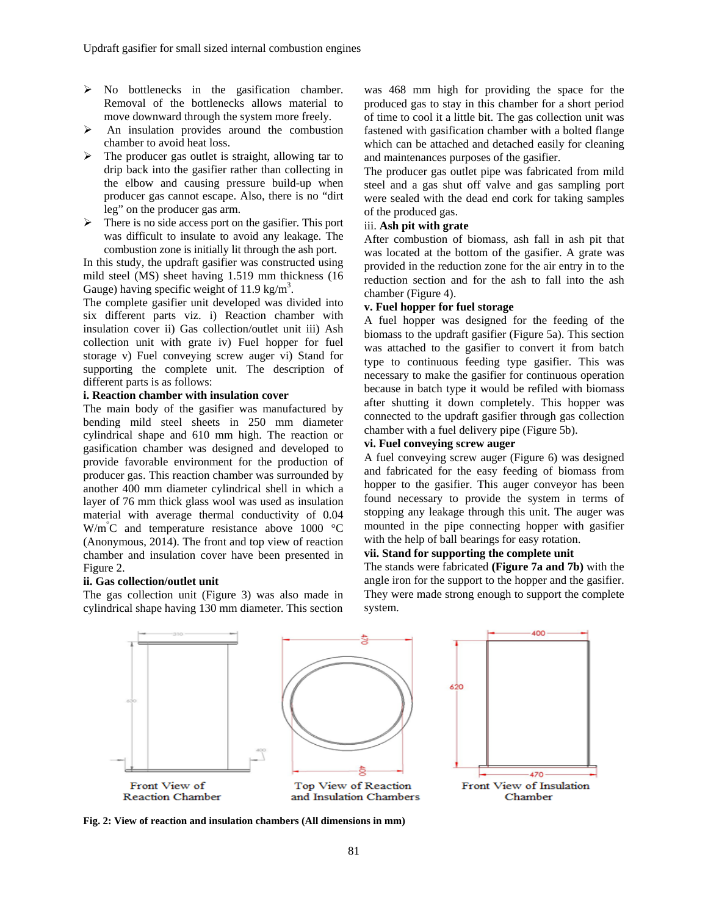- $\triangleright$  No bottlenecks in the gasification chamber. Removal of the bottlenecks allows material to move downward through the system more freely.
- $\triangleright$  An insulation provides around the combustion chamber to avoid heat loss.
- $\triangleright$  The producer gas outlet is straight, allowing tar to drip back into the gasifier rather than collecting in the elbow and causing pressure build-up when producer gas cannot escape. Also, there is no "dirt leg" on the producer gas arm.
- $\triangleright$  There is no side access port on the gasifier. This port was difficult to insulate to avoid any leakage. The combustion zone is initially lit through the ash port.

In this study, the updraft gasifier was constructed using mild steel (MS) sheet having 1.519 mm thickness (16 Gauge) having specific weight of 11.9 kg/m<sup>3</sup>.

The complete gasifier unit developed was divided into six different parts viz. i) Reaction chamber with insulation cover ii) Gas collection/outlet unit iii) Ash collection unit with grate iv) Fuel hopper for fuel storage v) Fuel conveying screw auger vi) Stand for supporting the complete unit. The description of different parts is as follows:

#### **i. Reaction chamber with insulation cover**

The main body of the gasifier was manufactured by bending mild steel sheets in 250 mm diameter cylindrical shape and 610 mm high. The reaction or gasification chamber was designed and developed to provide favorable environment for the production of producer gas. This reaction chamber was surrounded by another 400 mm diameter cylindrical shell in which a layer of 76 mm thick glass wool was used as insulation material with average thermal conductivity of 0.04 W/m<sup>°</sup>C and temperature resistance above 1000 °C (Anonymous, 2014). The front and top view of reaction chamber and insulation cover have been presented in Figure 2.

#### **ii. Gas collection/outlet unit**

The gas collection unit (Figure 3) was also made in cylindrical shape having 130 mm diameter. This section

was 468 mm high for providing the space for the produced gas to stay in this chamber for a short period of time to cool it a little bit. The gas collection unit was fastened with gasification chamber with a bolted flange which can be attached and detached easily for cleaning and maintenances purposes of the gasifier.

The producer gas outlet pipe was fabricated from mild steel and a gas shut off valve and gas sampling port were sealed with the dead end cork for taking samples of the produced gas.

#### iii. **Ash pit with grate**

After combustion of biomass, ash fall in ash pit that was located at the bottom of the gasifier. A grate was provided in the reduction zone for the air entry in to the reduction section and for the ash to fall into the ash chamber (Figure 4).

# **v. Fuel hopper for fuel storage**

A fuel hopper was designed for the feeding of the biomass to the updraft gasifier (Figure 5a). This section was attached to the gasifier to convert it from batch type to continuous feeding type gasifier. This was necessary to make the gasifier for continuous operation because in batch type it would be refiled with biomass after shutting it down completely. This hopper was connected to the updraft gasifier through gas collection chamber with a fuel delivery pipe (Figure 5b).

## **vi. Fuel conveying screw auger**

A fuel conveying screw auger (Figure 6) was designed and fabricated for the easy feeding of biomass from hopper to the gasifier. This auger conveyor has been found necessary to provide the system in terms of stopping any leakage through this unit. The auger was mounted in the pipe connecting hopper with gasifier with the help of ball bearings for easy rotation.

# **vii. Stand for supporting the complete unit**

The stands were fabricated **(Figure 7a and 7b)** with the angle iron for the support to the hopper and the gasifier. They were made strong enough to support the complete system.



**Fig. 2: View of reaction and insulation chambers (All dimensions in mm)**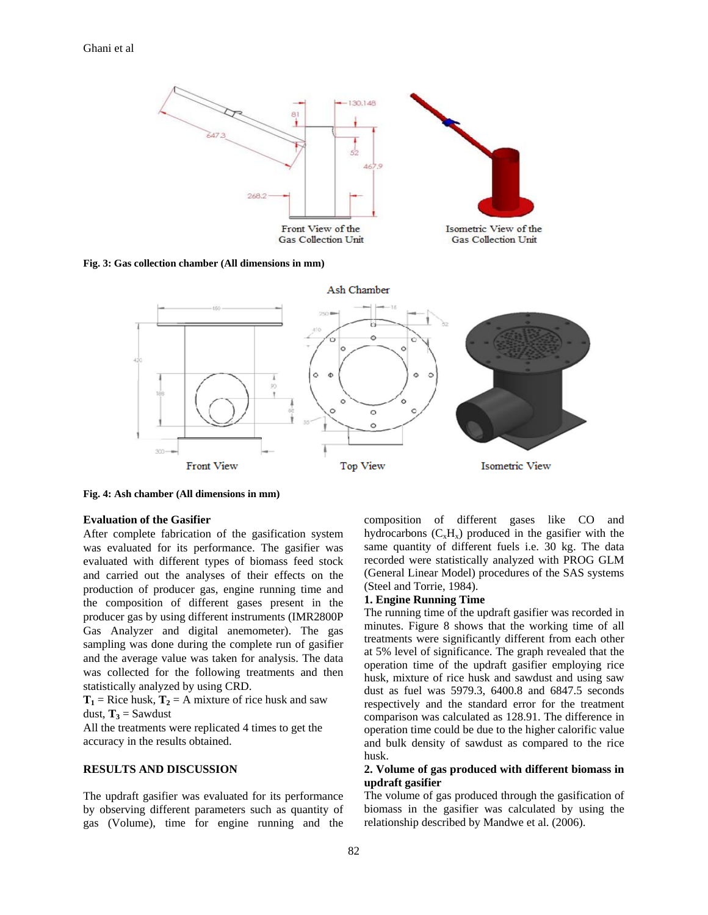

**Fig. 3: Gas collection chamber (All dimensions in mm)** 



**Fig. 4: Ash chamber (All dimensions in mm)** 

### **Evaluation of the Gasifier**

After complete fabrication of the gasification system was evaluated for its performance. The gasifier was evaluated with different types of biomass feed stock and carried out the analyses of their effects on the production of producer gas, engine running time and the composition of different gases present in the producer gas by using different instruments (IMR2800P Gas Analyzer and digital anemometer). The gas sampling was done during the complete run of gasifier and the average value was taken for analysis. The data was collected for the following treatments and then statistically analyzed by using CRD.

 $T_1$  = Rice husk,  $T_2$  = A mixture of rice husk and saw dust,  $T_3$  = Sawdust

All the treatments were replicated 4 times to get the accuracy in the results obtained.

## **RESULTS AND DISCUSSION**

The updraft gasifier was evaluated for its performance by observing different parameters such as quantity of gas (Volume), time for engine running and the composition of different gases like CO and hydrocarbons  $(C_xH_x)$  produced in the gasifier with the same quantity of different fuels i.e. 30 kg. The data recorded were statistically analyzed with PROG GLM (General Linear Model) procedures of the SAS systems (Steel and Torrie, 1984).

#### **1. Engine Running Time**

The running time of the updraft gasifier was recorded in minutes. Figure 8 shows that the working time of all treatments were significantly different from each other at 5% level of significance. The graph revealed that the operation time of the updraft gasifier employing rice husk, mixture of rice husk and sawdust and using saw dust as fuel was 5979.3, 6400.8 and 6847.5 seconds respectively and the standard error for the treatment comparison was calculated as 128.91. The difference in operation time could be due to the higher calorific value and bulk density of sawdust as compared to the rice husk.

# **2. Volume of gas produced with different biomass in updraft gasifier**

The volume of gas produced through the gasification of biomass in the gasifier was calculated by using the relationship described by Mandwe et al. (2006).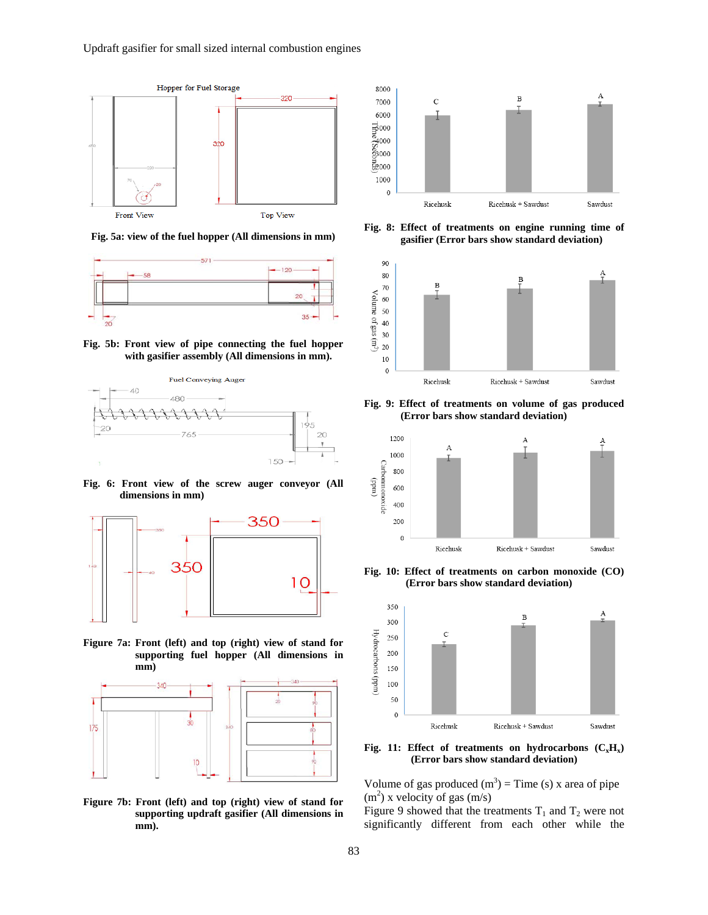

**Fig. 5a: view of the fuel hopper (All dimensions in mm)** 



**Fig. 5b: Front view of pipe connecting the fuel hopper with gasifier assembly (All dimensions in mm).** 



**Fig. 6: Front view of the screw auger conveyor (All dimensions in mm)** 



**Figure 7a: Front (left) and top (right) view of stand for supporting fuel hopper (All dimensions in mm)** 



**Figure 7b: Front (left) and top (right) view of stand for supporting updraft gasifier (All dimensions in mm).** 



**Fig. 8: Effect of treatments on engine running time of gasifier (Error bars show standard deviation)**



**Fig. 9: Effect of treatments on volume of gas produced (Error bars show standard deviation)** 



**Fig. 10: Effect of treatments on carbon monoxide (CO) (Error bars show standard deviation)** 



**Fig. 11: Effect of treatments on hydrocarbons**  $(C_xH_x)$ **(Error bars show standard deviation)** 

Volume of gas produced  $(m^3)$  = Time (s) x area of pipe  $(m<sup>2</sup>)$  x velocity of gas  $(m/s)$ 

Figure 9 showed that the treatments  $T_1$  and  $T_2$  were not significantly different from each other while the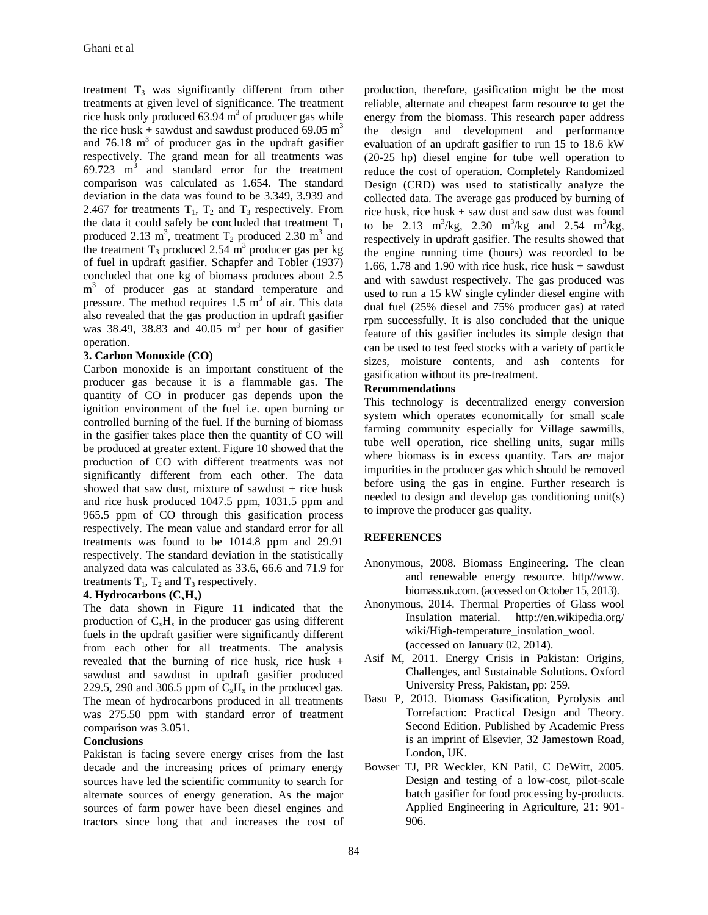treatment  $T_3$  was significantly different from other treatments at given level of significance. The treatment rice husk only produced  $63.94 \text{ m}^3$  of producer gas while the rice husk + sawdust and sawdust produced 69.05 m<sup>3</sup> and  $76.18 \text{ m}^3$  of producer gas in the updraft gasifier respectively. The grand mean for all treatments was  $69.723$  m<sup>3</sup> and standard error for the treatment comparison was calculated as 1.654. The standard deviation in the data was found to be 3.349, 3.939 and 2.467 for treatments  $T_1$ ,  $T_2$  and  $T_3$  respectively. From the data it could safely be concluded that treatment  $T_1$ produced 2.13 m<sup>3</sup>, treatment  $T_2$  produced 2.30 m<sup>3</sup> and the treatment  $T_3$  produced 2.54 m<sup>3</sup> producer gas per kg of fuel in updraft gasifier. Schapfer and Tobler (1937) concluded that one kg of biomass produces about 2.5 m<sup>3</sup> of producer gas at standard temperature and pressure. The method requires  $1.5 \text{ m}^3$  of air. This data also revealed that the gas production in updraft gasifier was 38.49, 38.83 and  $40.05$  m<sup>3</sup> per hour of gasifier operation.

### **3. Carbon Monoxide (CO)**

Carbon monoxide is an important constituent of the producer gas because it is a flammable gas. The quantity of CO in producer gas depends upon the ignition environment of the fuel i.e. open burning or controlled burning of the fuel. If the burning of biomass in the gasifier takes place then the quantity of CO will be produced at greater extent. Figure 10 showed that the production of CO with different treatments was not significantly different from each other. The data showed that saw dust, mixture of sawdust + rice husk and rice husk produced 1047.5 ppm, 1031.5 ppm and 965.5 ppm of CO through this gasification process respectively. The mean value and standard error for all treatments was found to be 1014.8 ppm and 29.91 respectively. The standard deviation in the statistically analyzed data was calculated as 33.6, 66.6 and 71.9 for treatments  $T_1$ ,  $T_2$  and  $T_3$  respectively.

# **4. Hydrocarbons**  $(C_xH_x)$

The data shown in Figure 11 indicated that the production of  $C_xH_x$  in the producer gas using different fuels in the updraft gasifier were significantly different from each other for all treatments. The analysis revealed that the burning of rice husk, rice husk + sawdust and sawdust in updraft gasifier produced 229.5, 290 and 306.5 ppm of  $C_xH_x$  in the produced gas. The mean of hydrocarbons produced in all treatments was 275.50 ppm with standard error of treatment comparison was 3.051.

### **Conclusions**

Pakistan is facing severe energy crises from the last decade and the increasing prices of primary energy sources have led the scientific community to search for alternate sources of energy generation. As the major sources of farm power have been diesel engines and tractors since long that and increases the cost of

production, therefore, gasification might be the most reliable, alternate and cheapest farm resource to get the energy from the biomass. This research paper address the design and development and performance evaluation of an updraft gasifier to run 15 to 18.6 kW (20-25 hp) diesel engine for tube well operation to reduce the cost of operation. Completely Randomized Design (CRD) was used to statistically analyze the collected data. The average gas produced by burning of rice husk, rice husk + saw dust and saw dust was found to be 2.13 m<sup>3</sup>/kg, 2.30 m<sup>3</sup>/kg and 2.54 m<sup>3</sup>/kg, respectively in updraft gasifier. The results showed that the engine running time (hours) was recorded to be 1.66, 1.78 and 1.90 with rice husk, rice husk  $+$  sawdust and with sawdust respectively. The gas produced was used to run a 15 kW single cylinder diesel engine with dual fuel (25% diesel and 75% producer gas) at rated rpm successfully. It is also concluded that the unique feature of this gasifier includes its simple design that can be used to test feed stocks with a variety of particle sizes, moisture contents, and ash contents for gasification without its pre-treatment.

# **Recommendations**

This technology is decentralized energy conversion system which operates economically for small scale farming community especially for Village sawmills, tube well operation, rice shelling units, sugar mills where biomass is in excess quantity. Tars are major impurities in the producer gas which should be removed before using the gas in engine. Further research is needed to design and develop gas conditioning unit(s) to improve the producer gas quality.

# **REFERENCES**

- Anonymous, 2008. Biomass Engineering. The clean and renewable energy resource. http//www. biomass.uk.com. (accessed on October 15, 2013).
- Anonymous, 2014. Thermal Properties of Glass wool Insulation material. http://en.wikipedia.org/ wiki/High-temperature\_insulation\_wool. (accessed on January 02, 2014).
- Asif M, 2011. Energy Crisis in Pakistan: Origins, Challenges, and Sustainable Solutions. Oxford University Press, Pakistan, pp: 259.
- Basu P, 2013. Biomass Gasification, Pyrolysis and Torrefaction: Practical Design and Theory. Second Edition. Published by Academic Press is an imprint of Elsevier, 32 Jamestown Road, London, UK.
- Bowser TJ, PR Weckler, KN Patil, C DeWitt, 2005. Design and testing of a low-cost, pilot-scale batch gasifier for food processing by-products. Applied Engineering in Agriculture, 21: 901- 906.